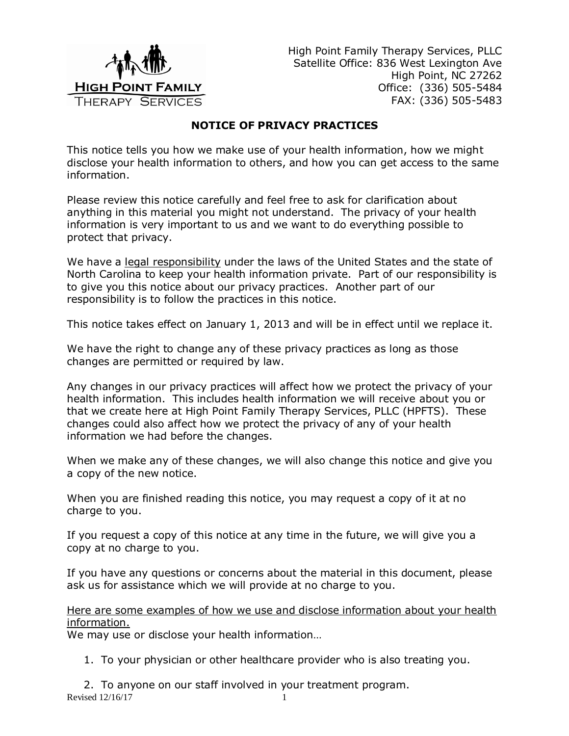

High Point Family Therapy Services, PLLC Satellite Office: 836 West Lexington Ave High Point, NC 27262 Office: (336) 505-5484 FAX: (336) 505-5483

## **NOTICE OF PRIVACY PRACTICES**

This notice tells you how we make use of your health information, how we might disclose your health information to others, and how you can get access to the same information.

Please review this notice carefully and feel free to ask for clarification about anything in this material you might not understand. The privacy of your health information is very important to us and we want to do everything possible to protect that privacy.

We have a legal responsibility under the laws of the United States and the state of North Carolina to keep your health information private. Part of our responsibility is to give you this notice about our privacy practices. Another part of our responsibility is to follow the practices in this notice.

This notice takes effect on January 1, 2013 and will be in effect until we replace it.

We have the right to change any of these privacy practices as long as those changes are permitted or required by law.

Any changes in our privacy practices will affect how we protect the privacy of your health information. This includes health information we will receive about you or that we create here at High Point Family Therapy Services, PLLC (HPFTS). These changes could also affect how we protect the privacy of any of your health information we had before the changes.

When we make any of these changes, we will also change this notice and give you a copy of the new notice.

When you are finished reading this notice, you may request a copy of it at no charge to you.

If you request a copy of this notice at any time in the future, we will give you a copy at no charge to you.

If you have any questions or concerns about the material in this document, please ask us for assistance which we will provide at no charge to you.

Here are some examples of how we use and disclose information about your health information.

We may use or disclose your health information…

1. To your physician or other healthcare provider who is also treating you.

Revised 12/16/17 1 2. To anyone on our staff involved in your treatment program.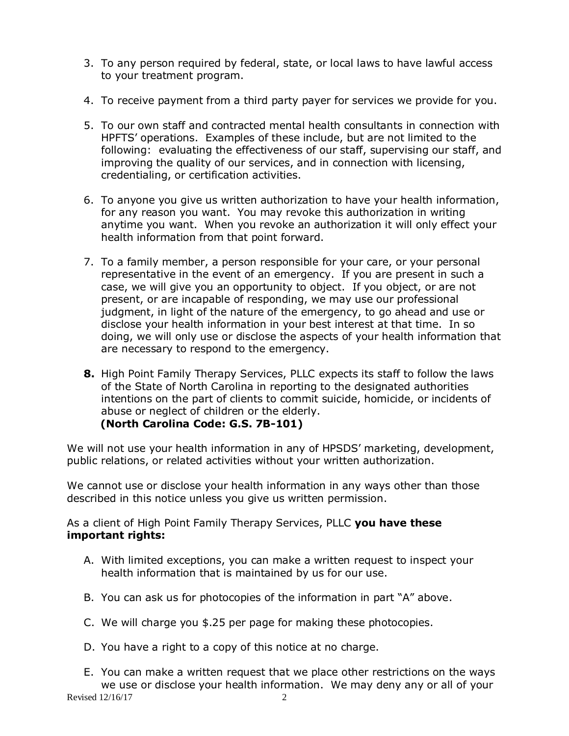- 3. To any person required by federal, state, or local laws to have lawful access to your treatment program.
- 4. To receive payment from a third party payer for services we provide for you.
- 5. To our own staff and contracted mental health consultants in connection with HPFTS' operations. Examples of these include, but are not limited to the following: evaluating the effectiveness of our staff, supervising our staff, and improving the quality of our services, and in connection with licensing, credentialing, or certification activities.
- 6. To anyone you give us written authorization to have your health information, for any reason you want. You may revoke this authorization in writing anytime you want. When you revoke an authorization it will only effect your health information from that point forward.
- 7. To a family member, a person responsible for your care, or your personal representative in the event of an emergency. If you are present in such a case, we will give you an opportunity to object. If you object, or are not present, or are incapable of responding, we may use our professional judgment, in light of the nature of the emergency, to go ahead and use or disclose your health information in your best interest at that time. In so doing, we will only use or disclose the aspects of your health information that are necessary to respond to the emergency.
- **8.** High Point Family Therapy Services, PLLC expects its staff to follow the laws of the State of North Carolina in reporting to the designated authorities intentions on the part of clients to commit suicide, homicide, or incidents of abuse or neglect of children or the elderly. **(North Carolina Code: G.S. 7B-101)**

We will not use your health information in any of HPSDS' marketing, development, public relations, or related activities without your written authorization.

We cannot use or disclose your health information in any ways other than those described in this notice unless you give us written permission.

As a client of High Point Family Therapy Services, PLLC **you have these important rights:**

- A. With limited exceptions, you can make a written request to inspect your health information that is maintained by us for our use.
- B. You can ask us for photocopies of the information in part "A" above.
- C. We will charge you \$.25 per page for making these photocopies.
- D. You have a right to a copy of this notice at no charge.
- Revised 12/16/17 2 E. You can make a written request that we place other restrictions on the ways we use or disclose your health information. We may deny any or all of your